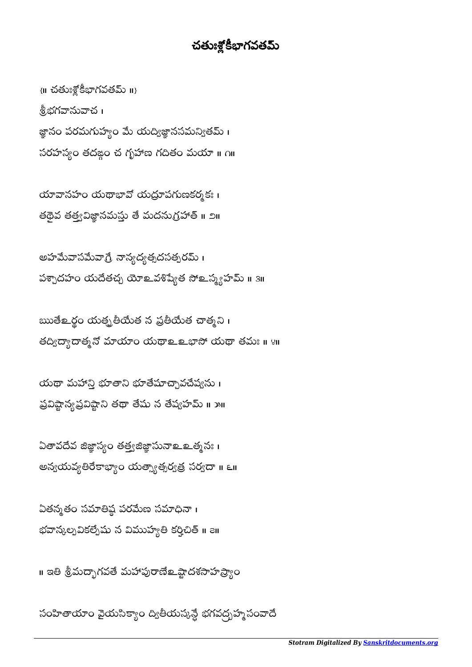సంహితాయాం వైయసిక్యాం ద్వితీయస్కన్దే భగవద్భహ్మసంవాదే

။ ఇతి శ్రీమద్భాగవతే మహాపురాణేஉష్టాదశసాహస్యాం

ఏతన్మతం సమాతిష్ఠ పరమేణ సమాధినా । భవాన్కల్పవికల్పేషు న విముహ్యతి కరి్తచిత్ ॥ all

ఏతావదేవ జిజ్ఞాస్యం తత్త్వజిజ్ఞాసునా உ త్మనః । అన్యయవ్యతిరేకాభ్యాం యత్నాత్సర్వత్ర సర్వదా <mark>။</mark> ౬॥

యథా మహాన్తి భూతాని భూతేషూచ్చావచేష్యను । ప్రవిష్టాన్య ప్రవిష్టాని తథా తేషు న తేష్యహమ్ ॥ ౫॥

ఋతెల్ళం యత్నతియేత న ప్రతియేత చాత్మని । తద్విద్యాదాత్మనో మాయాం యథాల లభాసో యథా తమః ॥ ४॥

అహమేవాసమేవాగ్రే నాన్యద్యత్నదసత్పరమ్ । పశ్చాదహం యదేతచ్చ యోஉవశిష్యేత సోஉస్మ్యహమ్ ॥ ३॥

యావానహం యథాభావో యద్రూపగుణకర్మక<mark>ః</mark> ၊ తథైవ తత్త్వవిజ్ఞానమస్తు తే మదనుగ్రహాత్ ॥ ౨॥

{॥ చః గవత ॥} శ్రీభగవానువాచ । జ్ఞానం పరమగుహ్యం మే యద్యిజ్ఞానసమన్యితమ్ । సరహస్యం తదఙ్గం చ గృహాణ గదితం మయా ॥ ౧॥

## చతుఃశ్లోకీభాగవతమ్